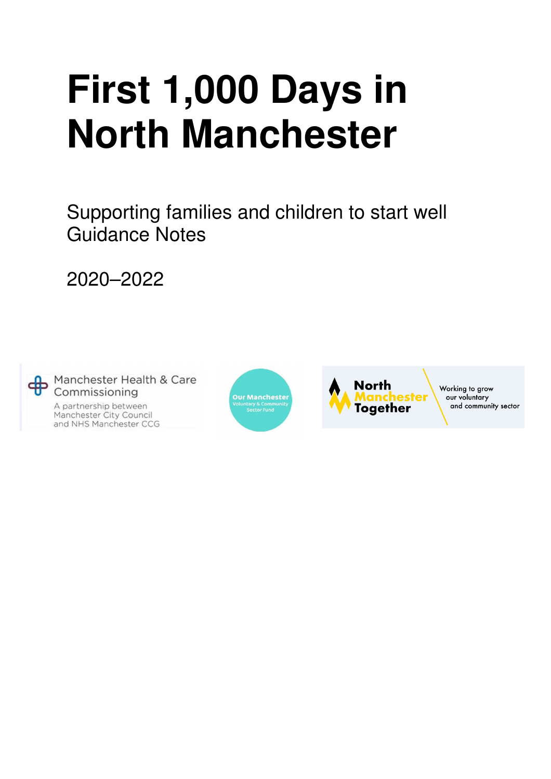# **First 1,000 Days in North Manchester**

Supporting families and children to start well Guidance Notes

2020–2022

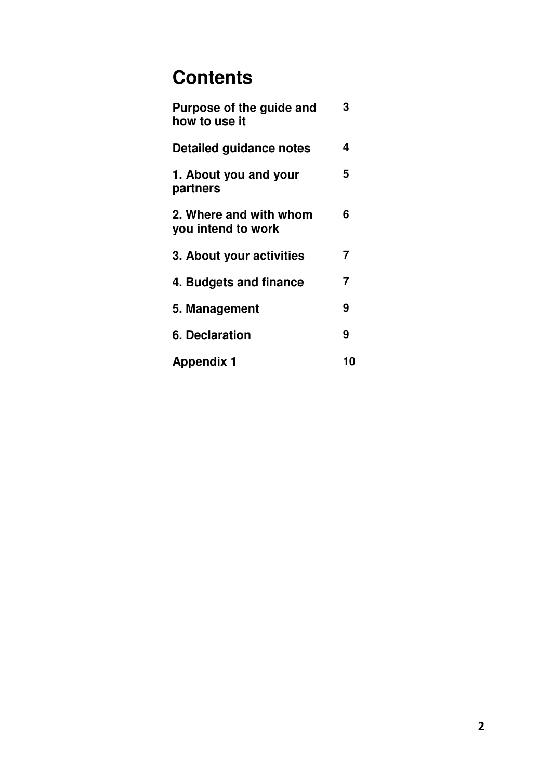# **Contents**

| Purpose of the guide and<br>how to use it    | 3              |
|----------------------------------------------|----------------|
| Detailed guidance notes                      | 4              |
| 1. About you and your<br>partners            | 5              |
| 2. Where and with whom<br>you intend to work | 6              |
| 3. About your activities                     | $\overline{7}$ |
| 4. Budgets and finance                       | $\overline{7}$ |
| 5. Management                                | 9              |
| <b>6. Declaration</b>                        | 9              |
| <b>Appendix 1</b>                            | 10             |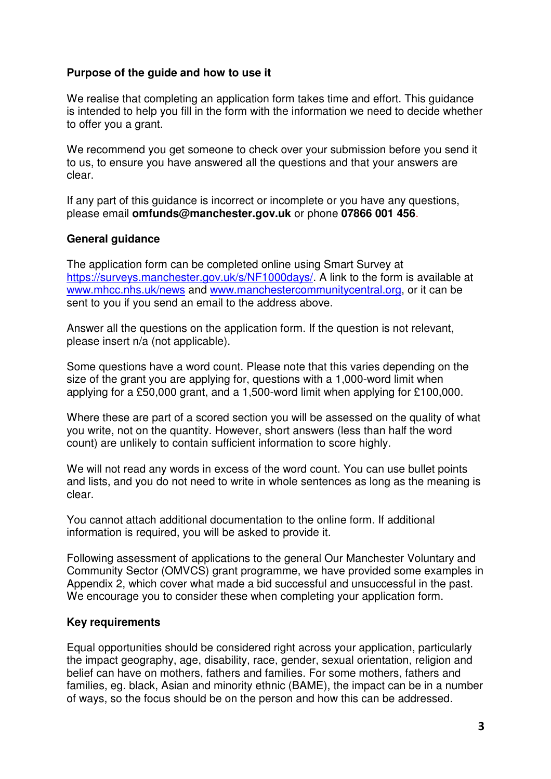#### **Purpose of the guide and how to use it**

We realise that completing an application form takes time and effort. This guidance is intended to help you fill in the form with the information we need to decide whether to offer you a grant.

We recommend you get someone to check over your submission before you send it to us, to ensure you have answered all the questions and that your answers are clear.

If any part of this guidance is incorrect or incomplete or you have any questions, please email **omfunds@manchester.gov.uk** or phone **07866 001 456**.

#### **General guidance**

The application form can be completed online using Smart Survey at https://surveys.manchester.gov.uk/s/NF1000days/. A link to the form is available at www.mhcc.nhs.uk/news and www.manchestercommunitycentral.org, or it can be sent to you if you send an email to the address above.

Answer all the questions on the application form. If the question is not relevant, please insert n/a (not applicable).

Some questions have a word count. Please note that this varies depending on the size of the grant you are applying for, questions with a 1,000-word limit when applying for a £50,000 grant, and a 1,500-word limit when applying for £100,000.

Where these are part of a scored section you will be assessed on the quality of what you write, not on the quantity. However, short answers (less than half the word count) are unlikely to contain sufficient information to score highly.

We will not read any words in excess of the word count. You can use bullet points and lists, and you do not need to write in whole sentences as long as the meaning is clear.

You cannot attach additional documentation to the online form. If additional information is required, you will be asked to provide it.

Following assessment of applications to the general Our Manchester Voluntary and Community Sector (OMVCS) grant programme, we have provided some examples in Appendix 2, which cover what made a bid successful and unsuccessful in the past. We encourage you to consider these when completing your application form.

#### **Key requirements**

Equal opportunities should be considered right across your application, particularly the impact geography, age, disability, race, gender, sexual orientation, religion and belief can have on mothers, fathers and families. For some mothers, fathers and families, eg. black, Asian and minority ethnic (BAME), the impact can be in a number of ways, so the focus should be on the person and how this can be addressed.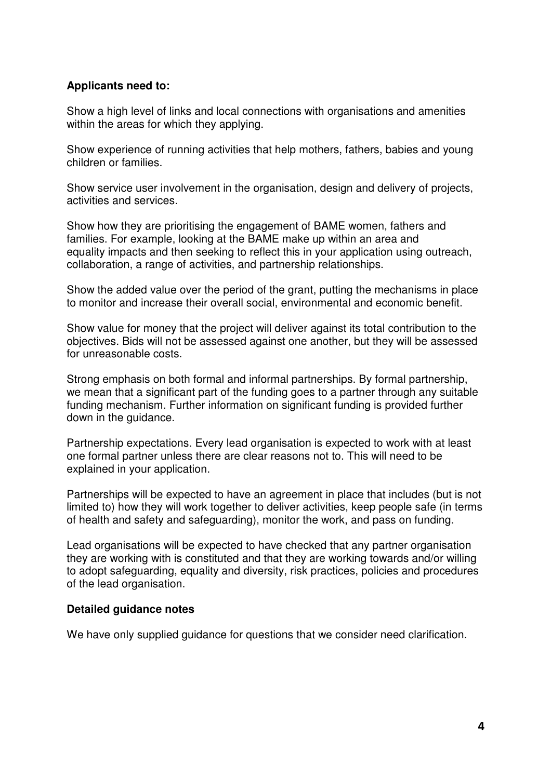#### **Applicants need to:**

Show a high level of links and local connections with organisations and amenities within the areas for which they applying.

Show experience of running activities that help mothers, fathers, babies and young children or families.

Show service user involvement in the organisation, design and delivery of projects, activities and services.

Show how they are prioritising the engagement of BAME women, fathers and families. For example, looking at the BAME make up within an area and equality impacts and then seeking to reflect this in your application using outreach, collaboration, a range of activities, and partnership relationships.

Show the added value over the period of the grant, putting the mechanisms in place to monitor and increase their overall social, environmental and economic benefit.

Show value for money that the project will deliver against its total contribution to the objectives. Bids will not be assessed against one another, but they will be assessed for unreasonable costs.

Strong emphasis on both formal and informal partnerships. By formal partnership, we mean that a significant part of the funding goes to a partner through any suitable funding mechanism. Further information on significant funding is provided further down in the guidance.

Partnership expectations. Every lead organisation is expected to work with at least one formal partner unless there are clear reasons not to. This will need to be explained in your application.

Partnerships will be expected to have an agreement in place that includes (but is not limited to) how they will work together to deliver activities, keep people safe (in terms of health and safety and safeguarding), monitor the work, and pass on funding.

Lead organisations will be expected to have checked that any partner organisation they are working with is constituted and that they are working towards and/or willing to adopt safeguarding, equality and diversity, risk practices, policies and procedures of the lead organisation.

#### **Detailed guidance notes**

We have only supplied guidance for questions that we consider need clarification.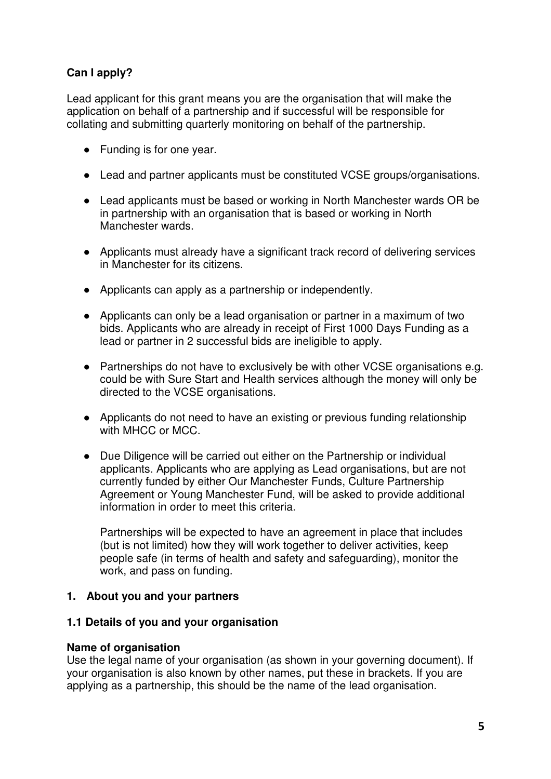# **Can I apply?**

Lead applicant for this grant means you are the organisation that will make the application on behalf of a partnership and if successful will be responsible for collating and submitting quarterly monitoring on behalf of the partnership.

- Funding is for one year.
- Lead and partner applicants must be constituted VCSE groups/organisations.
- Lead applicants must be based or working in North Manchester wards OR be in partnership with an organisation that is based or working in North Manchester wards.
- Applicants must already have a significant track record of delivering services in Manchester for its citizens.
- Applicants can apply as a partnership or independently.
- Applicants can only be a lead organisation or partner in a maximum of two bids. Applicants who are already in receipt of First 1000 Days Funding as a lead or partner in 2 successful bids are ineligible to apply.
- Partnerships do not have to exclusively be with other VCSE organisations e.g. could be with Sure Start and Health services although the money will only be directed to the VCSE organisations.
- Applicants do not need to have an existing or previous funding relationship with MHCC or MCC.
- Due Diligence will be carried out either on the Partnership or individual applicants. Applicants who are applying as Lead organisations, but are not currently funded by either Our Manchester Funds, Culture Partnership Agreement or Young Manchester Fund, will be asked to provide additional information in order to meet this criteria.

Partnerships will be expected to have an agreement in place that includes (but is not limited) how they will work together to deliver activities, keep people safe (in terms of health and safety and safeguarding), monitor the work, and pass on funding.

# **1. About you and your partners**

# **1.1 Details of you and your organisation**

#### **Name of organisation**

Use the legal name of your organisation (as shown in your governing document). If your organisation is also known by other names, put these in brackets. If you are applying as a partnership, this should be the name of the lead organisation.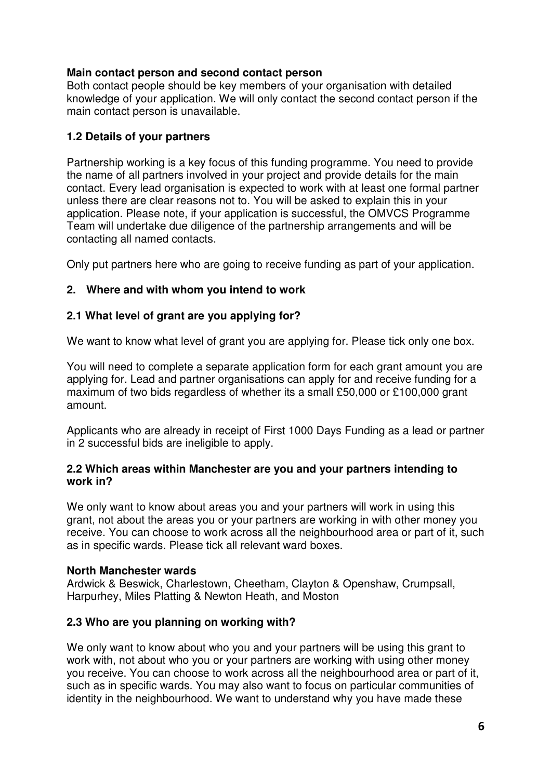# **Main contact person and second contact person**

Both contact people should be key members of your organisation with detailed knowledge of your application. We will only contact the second contact person if the main contact person is unavailable.

# **1.2 Details of your partners**

Partnership working is a key focus of this funding programme. You need to provide the name of all partners involved in your project and provide details for the main contact. Every lead organisation is expected to work with at least one formal partner unless there are clear reasons not to. You will be asked to explain this in your application. Please note, if your application is successful, the OMVCS Programme Team will undertake due diligence of the partnership arrangements and will be contacting all named contacts.

Only put partners here who are going to receive funding as part of your application.

# **2. Where and with whom you intend to work**

# **2.1 What level of grant are you applying for?**

We want to know what level of grant you are applying for. Please tick only one box.

You will need to complete a separate application form for each grant amount you are applying for. Lead and partner organisations can apply for and receive funding for a maximum of two bids regardless of whether its a small £50,000 or £100,000 grant amount.

Applicants who are already in receipt of First 1000 Days Funding as a lead or partner in 2 successful bids are ineligible to apply.

#### **2.2 Which areas within Manchester are you and your partners intending to work in?**

We only want to know about areas you and your partners will work in using this grant, not about the areas you or your partners are working in with other money you receive. You can choose to work across all the neighbourhood area or part of it, such as in specific wards. Please tick all relevant ward boxes.

# **North Manchester wards**

Ardwick & Beswick, Charlestown, Cheetham, Clayton & Openshaw, Crumpsall, Harpurhey, Miles Platting & Newton Heath, and Moston

# **2.3 Who are you planning on working with?**

We only want to know about who you and your partners will be using this grant to work with, not about who you or your partners are working with using other money you receive. You can choose to work across all the neighbourhood area or part of it, such as in specific wards. You may also want to focus on particular communities of identity in the neighbourhood. We want to understand why you have made these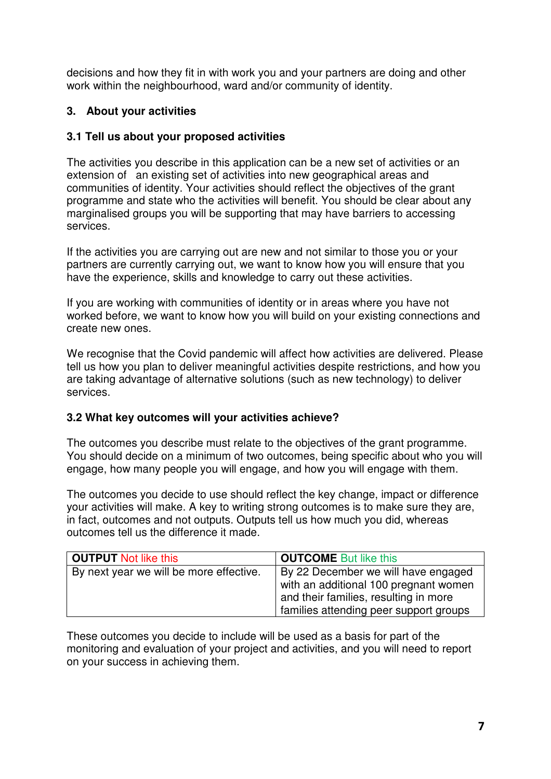decisions and how they fit in with work you and your partners are doing and other work within the neighbourhood, ward and/or community of identity.

# **3. About your activities**

# **3.1 Tell us about your proposed activities**

The activities you describe in this application can be a new set of activities or an extension of an existing set of activities into new geographical areas and communities of identity. Your activities should reflect the objectives of the grant programme and state who the activities will benefit. You should be clear about any marginalised groups you will be supporting that may have barriers to accessing services.

If the activities you are carrying out are new and not similar to those you or your partners are currently carrying out, we want to know how you will ensure that you have the experience, skills and knowledge to carry out these activities.

If you are working with communities of identity or in areas where you have not worked before, we want to know how you will build on your existing connections and create new ones.

We recognise that the Covid pandemic will affect how activities are delivered. Please tell us how you plan to deliver meaningful activities despite restrictions, and how you are taking advantage of alternative solutions (such as new technology) to deliver services.

# **3.2 What key outcomes will your activities achieve?**

The outcomes you describe must relate to the objectives of the grant programme. You should decide on a minimum of two outcomes, being specific about who you will engage, how many people you will engage, and how you will engage with them.

The outcomes you decide to use should reflect the key change, impact or difference your activities will make. A key to writing strong outcomes is to make sure they are, in fact, outcomes and not outputs. Outputs tell us how much you did, whereas outcomes tell us the difference it made.

| <b>OUTPUT Not like this</b>             | <b>OUTCOME</b> But like this                                                                                          |
|-----------------------------------------|-----------------------------------------------------------------------------------------------------------------------|
| By next year we will be more effective. | By 22 December we will have engaged<br>with an additional 100 pregnant women<br>and their families, resulting in more |
|                                         | families attending peer support groups                                                                                |

These outcomes you decide to include will be used as a basis for part of the monitoring and evaluation of your project and activities, and you will need to report on your success in achieving them.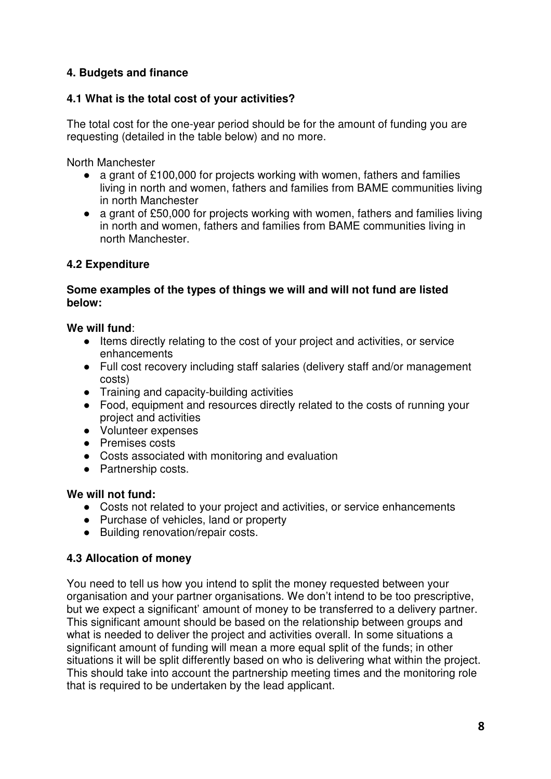# **4. Budgets and finance**

# **4.1 What is the total cost of your activities?**

The total cost for the one-year period should be for the amount of funding you are requesting (detailed in the table below) and no more.

North Manchester

- a grant of £100,000 for projects working with women, fathers and families living in north and women, fathers and families from BAME communities living in north Manchester
- a grant of £50,000 for projects working with women, fathers and families living in north and women, fathers and families from BAME communities living in north Manchester.

# **4.2 Expenditure**

#### **Some examples of the types of things we will and will not fund are listed below:**

# **We will fund**:

- Items directly relating to the cost of your project and activities, or service enhancements
- Full cost recovery including staff salaries (delivery staff and/or management costs)
- Training and capacity-building activities
- Food, equipment and resources directly related to the costs of running your project and activities
- Volunteer expenses
- Premises costs
- Costs associated with monitoring and evaluation
- Partnership costs.

# **We will not fund:**

- Costs not related to your project and activities, or service enhancements
- Purchase of vehicles, land or property
- Building renovation/repair costs.

# **4.3 Allocation of money**

You need to tell us how you intend to split the money requested between your organisation and your partner organisations. We don't intend to be too prescriptive, but we expect a significant' amount of money to be transferred to a delivery partner. This significant amount should be based on the relationship between groups and what is needed to deliver the project and activities overall. In some situations a significant amount of funding will mean a more equal split of the funds; in other situations it will be split differently based on who is delivering what within the project. This should take into account the partnership meeting times and the monitoring role that is required to be undertaken by the lead applicant.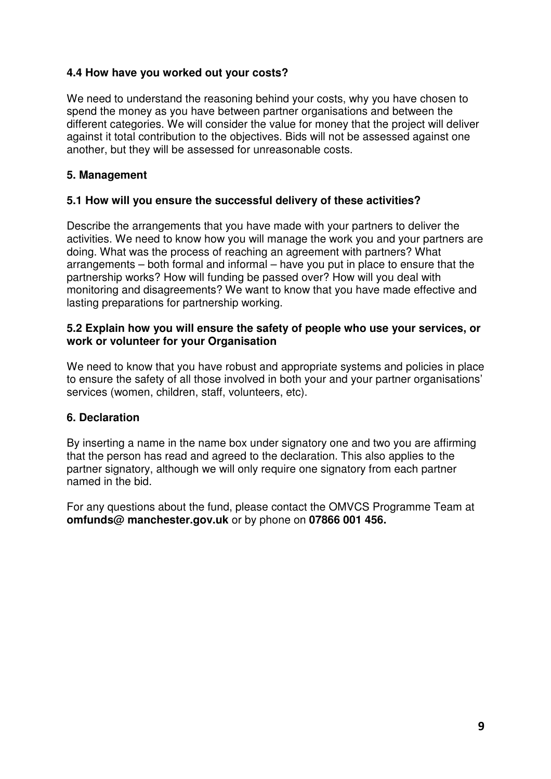# **4.4 How have you worked out your costs?**

We need to understand the reasoning behind your costs, why you have chosen to spend the money as you have between partner organisations and between the different categories. We will consider the value for money that the project will deliver against it total contribution to the objectives. Bids will not be assessed against one another, but they will be assessed for unreasonable costs.

# **5. Management**

# **5.1 How will you ensure the successful delivery of these activities?**

Describe the arrangements that you have made with your partners to deliver the activities. We need to know how you will manage the work you and your partners are doing. What was the process of reaching an agreement with partners? What arrangements – both formal and informal – have you put in place to ensure that the partnership works? How will funding be passed over? How will you deal with monitoring and disagreements? We want to know that you have made effective and lasting preparations for partnership working.

#### **5.2 Explain how you will ensure the safety of people who use your services, or work or volunteer for your Organisation**

We need to know that you have robust and appropriate systems and policies in place to ensure the safety of all those involved in both your and your partner organisations' services (women, children, staff, volunteers, etc).

# **6. Declaration**

By inserting a name in the name box under signatory one and two you are affirming that the person has read and agreed to the declaration. This also applies to the partner signatory, although we will only require one signatory from each partner named in the bid.

For any questions about the fund, please contact the OMVCS Programme Team at **omfunds@ manchester.gov.uk** or by phone on **07866 001 456.**